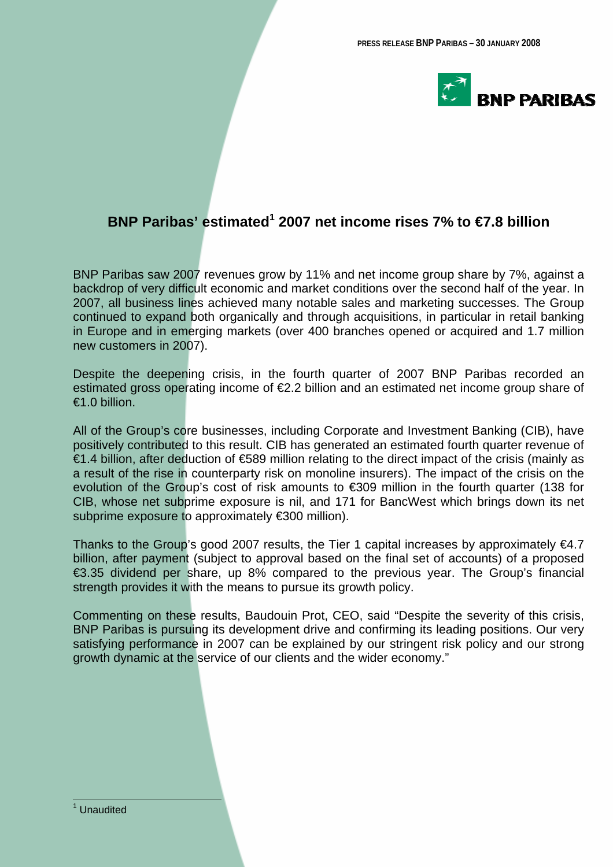

# **BNP Paribas' estimated<sup>1</sup> 2007 net income rises 7% to €7.8 billion**

BNP Paribas saw 2007 revenues grow by 11% and net income group share by 7%, against a backdrop of very difficult economic and market conditions over the second half of the year. In 2007, all business lines achieved many notable sales and marketing successes. The Group continued to expand both organically and through acquisitions, in particular in retail banking in Europe and in emerging markets (over 400 branches opened or acquired and 1.7 million new customers in 2007).

Despite the deepening crisis, in the fourth quarter of 2007 BNP Paribas recorded an estimated gross operating income of €2.2 billion and an estimated net income group share of €1.0 billion.

All of the Group's core businesses, including Corporate and Investment Banking (CIB), have positively contributed to this result. CIB has generated an estimated fourth quarter revenue of €1.4 billion, after deduction of €589 million relating to the direct impact of the crisis (mainly as a result of the rise in counterparty risk on monoline insurers). The impact of the crisis on the evolution of the Group's cost of risk amounts to €309 million in the fourth quarter (138 for CIB, whose net subprime exposure is nil, and 171 for BancWest which brings down its net subprime exposure to approximately €300 million).

Thanks to the Group's good 2007 results, the Tier 1 capital increases by approximately  $\epsilon$ 4.7 billion, after payment (subject to approval based on the final set of accounts) of a proposed €3.35 dividend per share, up 8% compared to the previous year. The Group's financial strength provides it with the means to pursue its growth policy.

Commenting on these results, Baudouin Prot, CEO, said "Despite the severity of this crisis, BNP Paribas is pursuing its development drive and confirming its leading positions. Our very satisfying performance in 2007 can be explained by our stringent risk policy and our strong growth dynamic at the service of our clients and the wider economy."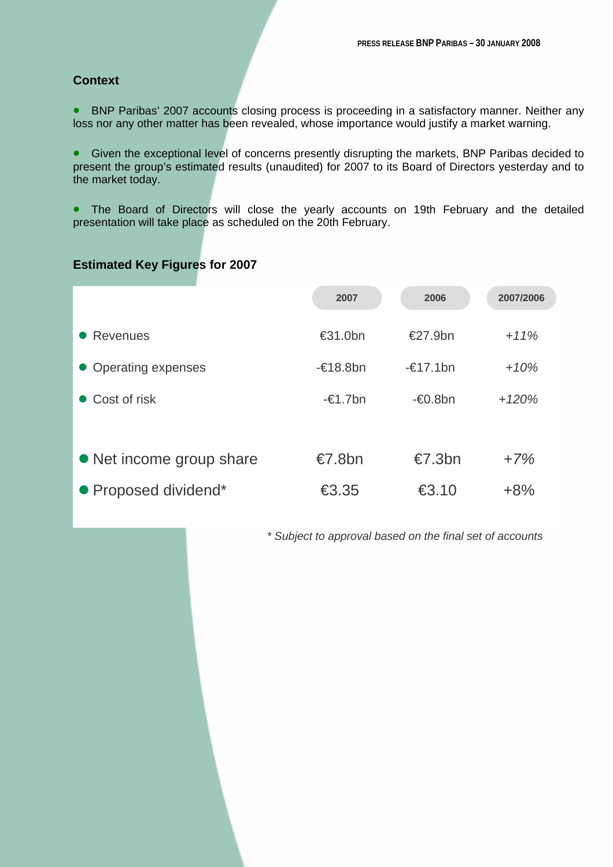# **Context**

• BNP Paribas' 2007 accounts closing process is proceeding in a satisfactory manner. Neither any loss nor any other matter has been revealed, whose importance would justify a market warning.

• Given the exceptional level of concerns presently disrupting the markets, BNP Paribas decided to present the group's estimated results (unaudited) for 2007 to its Board of Directors yesterday and to the market today.

• The Board of Directors will close the yearly accounts on 19th February and the detailed presentation will take place as scheduled on the 20th February.

# **Estimated Key Figures for 2007**

|                          | 2007                                        | 2006               | 2007/2006 |
|--------------------------|---------------------------------------------|--------------------|-----------|
| <b>Revenues</b>          | €31.0bn                                     | €27.9bn            | $+11%$    |
| • Operating expenses     | $-\epsilon$ 18.8bn                          | $-\epsilon$ 17.1bn | $+10%$    |
| • Cost of risk           | $-\epsilon$ 1.7bn                           | $-60.8$ bn         | $+120%$   |
|                          |                                             |                    |           |
| • Net income group share | €7.8bn                                      | $\epsilon$ 7.3bn   | $+7%$     |
| • Proposed dividend*     | $\textcolor{red}{\textbf{\textsterling}}35$ | €3.10              | $+8%$     |

*\* Subject to approval based on the final set of accounts*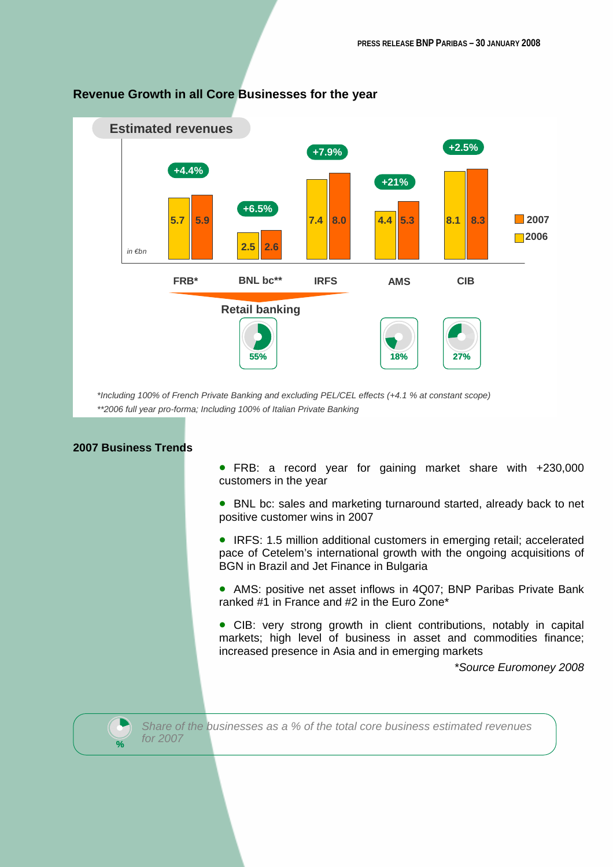

# **Revenue Growth in all Core Businesses for the year**

*\*Including 100% of French Private Banking and excluding PEL/CEL effects (+4.1 % at constant scope) \*\*2006 full year pro-forma; Including 100% of Italian Private Banking*

# **2007 Business Trends**

- FRB: a record year for gaining market share with +230,000 customers in the year
- BNL bc: sales and marketing turnaround started, already back to net positive customer wins in 2007
- IRFS: 1.5 million additional customers in emerging retail; accelerated pace of Cetelem's international growth with the ongoing acquisitions of BGN in Brazil and Jet Finance in Bulgaria
- AMS: positive net asset inflows in 4Q07; BNP Paribas Private Bank ranked #1 in France and #2 in the Euro Zone\*
- CIB: very strong growth in client contributions, notably in capital markets; high level of business in asset and commodities finance; increased presence in Asia and in emerging markets

*\*Source Euromoney 2008*



*Share of the businesses as a % of the total core business estimated revenues for 2007*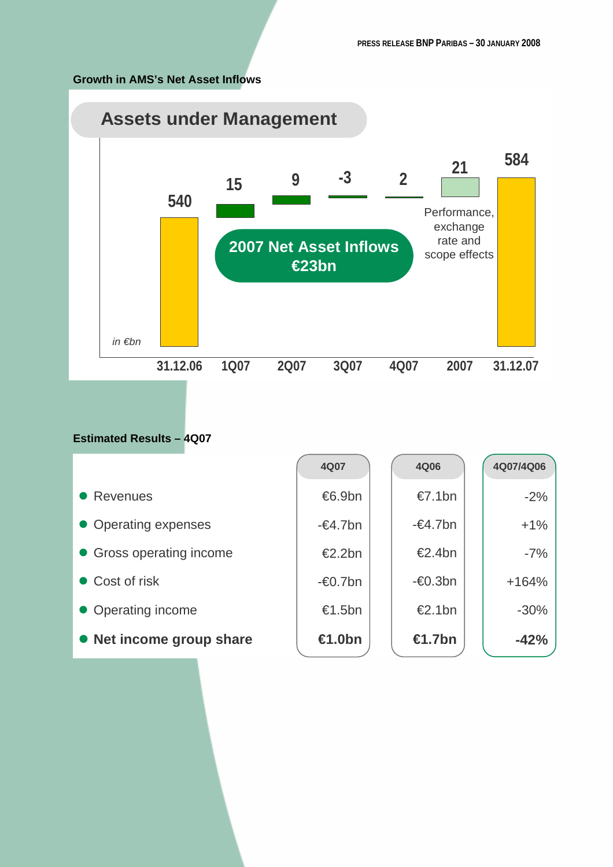# **Growth in AMS's Net Asset Inflows**



# **Estimated Results – 4Q07**

|                          | 4Q07              | 4Q06              | 4Q07/4Q06 |
|--------------------------|-------------------|-------------------|-----------|
| • Revenues               | €6.9bn            | $\epsilon$ 7.1bn  | $-2%$     |
| • Operating expenses     | $-\epsilon$ 4.7bn | $-\epsilon$ 4.7bn | $+1\%$    |
| • Gross operating income | €2.2bn            | €2.4bn            | $-7%$     |
| • Cost of risk           | $-60.7$ bn        | $-60.3$ bn        | $+164%$   |
| • Operating income       | €1.5bn            | €2.1bn            | $-30\%$   |
| • Net income group share | €1.0bn            | €1.7bn            | $-42%$    |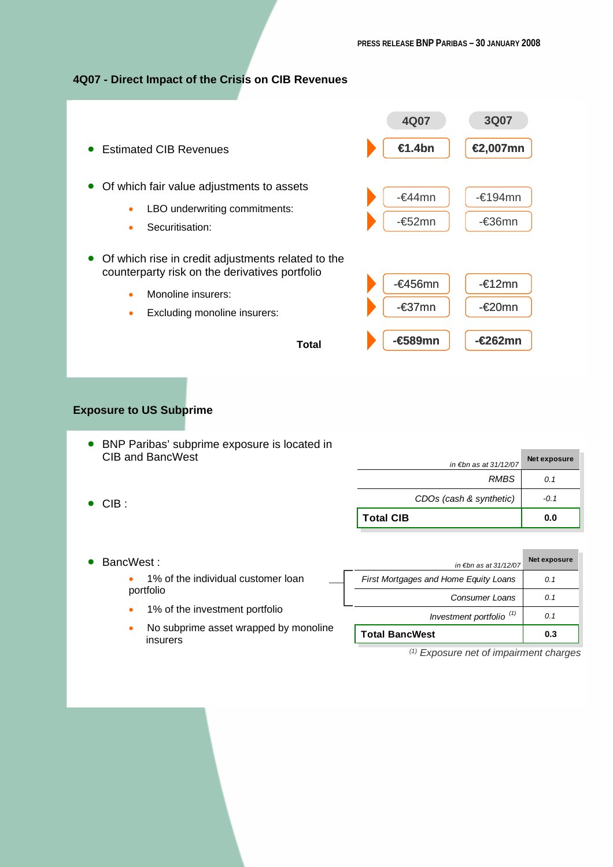## **4Q07 - Direct Impact of the Crisis on CIB Revenues**



## **Exposure to US Subprime**

- BNP Paribas' subprime exposure is located in CIB and BancWest *in €bn as at 31/12/07* **Net exposure** *RMBS 0.1*
- CIB :

| <b>Total CIB</b>                       | 0.0          |
|----------------------------------------|--------------|
| CDOs (cash & synthetic)                | $-0.1$       |
| <b>RMBS</b>                            | 0.1          |
| in $\not\varepsilon$ bn as at 31/12/07 | Net exposure |

#### • BancWest :

• 1% of the individual customer loan portfolio

- 1% of the investment portfolio
- No subprime asset wrapped by monoline insurers

| in $\not\varepsilon$ bn as at 31/12/07 | Net exposure |
|----------------------------------------|--------------|
| First Mortgages and Home Equity Loans  | 0.1          |
| Consumer Loans                         | 0.1          |
| Investment portfolio <sup>(1)</sup>    | 0.1          |
| <b>Total BancWest</b>                  | 0.3          |
|                                        |              |

*(1) Exposure net of impairment charges*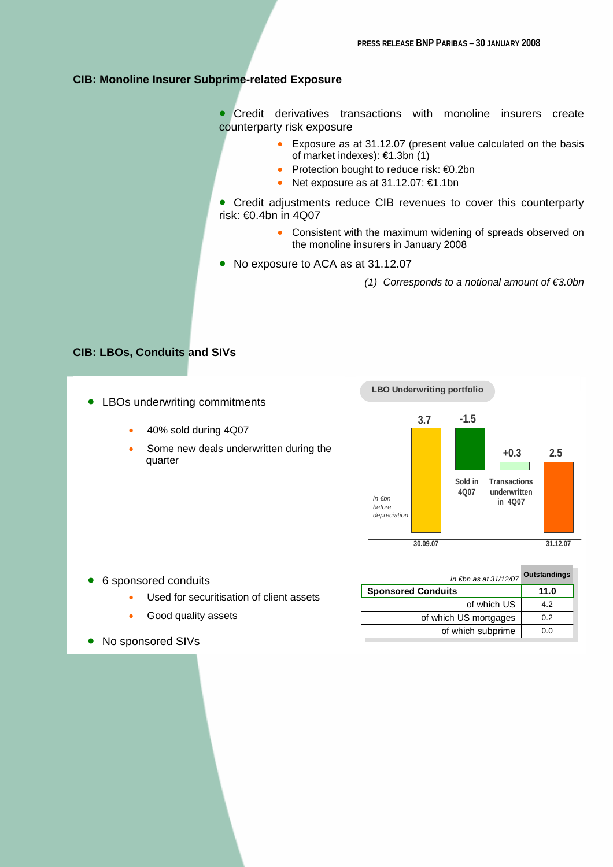## **CIB: Monoline Insurer Subprime-related Exposure**

• Credit derivatives transactions with monoline insurers create counterparty risk exposure

- Exposure as at 31.12.07 (present value calculated on the basis of market indexes): €1.3bn (1)
- Protection bought to reduce risk: €0.2bn
- Net exposure as at 31.12.07: €1.1bn

• Credit adjustments reduce CIB revenues to cover this counterparty risk: €0.4bn in 4Q07

- Consistent with the maximum widening of spreads observed on the monoline insurers in January 2008
- No exposure to ACA as at 31.12.07
	- *(1) Corresponds to a notional amount of €3.0bn*

### **CIB: LBOs, Conduits and SIVs**

- LBOs underwriting commitments
	- 40% sold during 4Q07
	- Some new deals underwritten during the quarter



- 6 sponsored conduits
	- Used for securitisation of client assets
	- Good quality assets
- No sponsored SIVs

| Outstandings<br>in €bn as at 31/12/07 |
|---------------------------------------|
| 11.0                                  |
| 4.2                                   |
| 0.2                                   |
| 0.0                                   |
|                                       |

**The Common**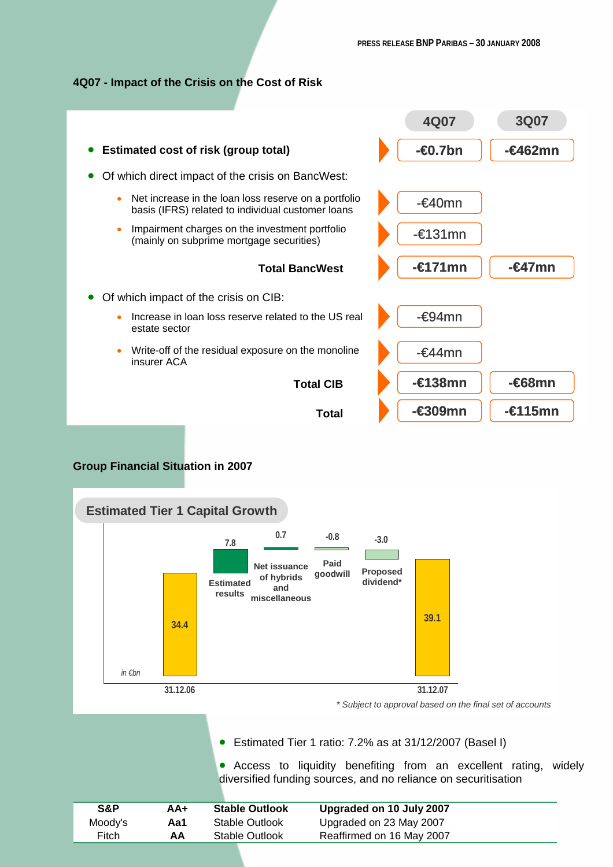## **4Q07 - Impact of the Crisis on the Cost of Risk**



## **Group Financial Situation in 2007**